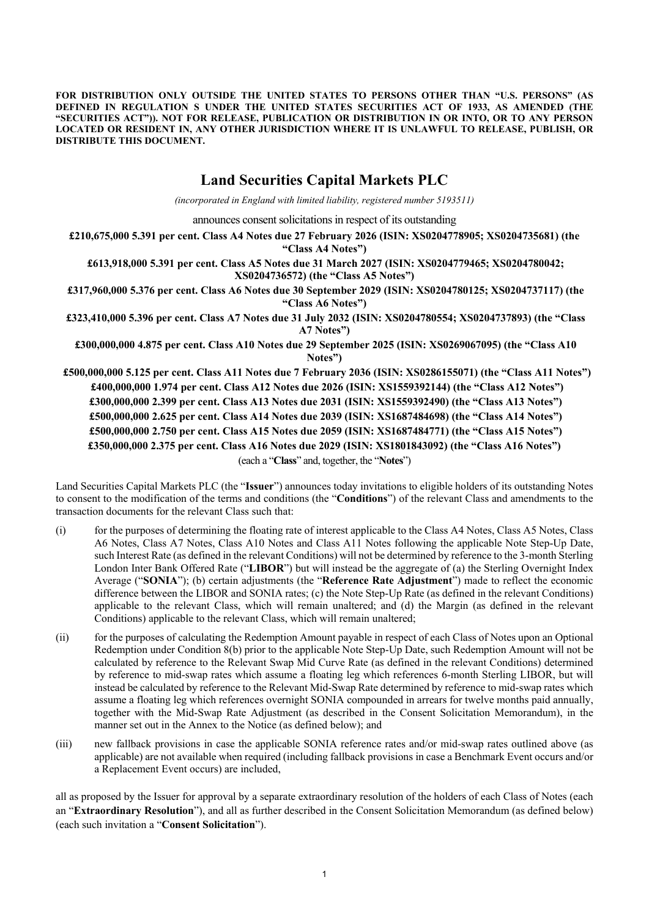**FOR DISTRIBUTION ONLY OUTSIDE THE UNITED STATES TO PERSONS OTHER THAN "U.S. PERSONS" (AS DEFINED IN REGULATION S UNDER THE UNITED STATES SECURITIES ACT OF 1933, AS AMENDED (THE "SECURITIES ACT")). NOT FOR RELEASE, PUBLICATION OR DISTRIBUTION IN OR INTO, OR TO ANY PERSON LOCATED OR RESIDENT IN, ANY OTHER JURISDICTION WHERE IT IS UNLAWFUL TO RELEASE, PUBLISH, OR DISTRIBUTE THIS DOCUMENT.**

# **Land Securities Capital Markets PLC**

*(incorporated in England with limited liability, registered number 5193511)*

announces consent solicitations in respect of its outstanding

**£210,675,000 5.391 per cent. Class A4 Notes due 27 February 2026 (ISIN: XS0204778905; XS0204735681) (the "Class A4 Notes")**

**£613,918,000 5.391 per cent. Class A5 Notes due 31 March 2027 (ISIN: XS0204779465; XS0204780042; XS0204736572) (the "Class A5 Notes")**

**£317,960,000 5.376 per cent. Class A6 Notes due 30 September 2029 (ISIN: XS0204780125; XS0204737117) (the "Class A6 Notes")**

**£323,410,000 5.396 per cent. Class A7 Notes due 31 July 2032 (ISIN: XS0204780554; XS0204737893) (the "Class A7 Notes")**

**£300,000,000 4.875 per cent. Class A10 Notes due 29 September 2025 (ISIN: XS0269067095) (the "Class A10 Notes")**

 **£500,000,000 5.125 per cent. Class A11 Notes due 7 February 2036 (ISIN: XS0286155071) (the "Class A11 Notes") £400,000,000 1.974 per cent. Class A12 Notes due 2026 (ISIN: XS1559392144) (the "Class A12 Notes") £300,000,000 2.399 per cent. Class A13 Notes due 2031 (ISIN: XS1559392490) (the "Class A13 Notes") £500,000,000 2.625 per cent. Class A14 Notes due 2039 (ISIN: XS1687484698) (the "Class A14 Notes") £500,000,000 2.750 per cent. Class A15 Notes due 2059 (ISIN: XS1687484771) (the "Class A15 Notes") £350,000,000 2.375 per cent. Class A16 Notes due 2029 (ISIN: XS1801843092) (the "Class A16 Notes")**  (each a "**Class**" and, together, the "**Notes**")

Land Securities Capital Markets PLC (the "**Issuer**") announces today invitations to eligible holders of its outstanding Notes to consent to the modification of the terms and conditions (the "**Conditions**") of the relevant Class and amendments to the transaction documents for the relevant Class such that:

- (i) for the purposes of determining the floating rate of interest applicable to the Class A4 Notes, Class A5 Notes, Class A6 Notes, Class A7 Notes, Class A10 Notes and Class A11 Notes following the applicable Note Step-Up Date, such Interest Rate (as defined in the relevant Conditions) will not be determined by reference to the 3-month Sterling London Inter Bank Offered Rate ("**LIBOR**") but will instead be the aggregate of (a) the Sterling Overnight Index Average ("**SONIA**"); (b) certain adjustments (the "**Reference Rate Adjustment**") made to reflect the economic difference between the LIBOR and SONIA rates; (c) the Note Step-Up Rate (as defined in the relevant Conditions) applicable to the relevant Class, which will remain unaltered; and (d) the Margin (as defined in the relevant Conditions) applicable to the relevant Class, which will remain unaltered;
- (ii) for the purposes of calculating the Redemption Amount payable in respect of each Class of Notes upon an Optional Redemption under Condition 8(b) prior to the applicable Note Step-Up Date, such Redemption Amount will not be calculated by reference to the Relevant Swap Mid Curve Rate (as defined in the relevant Conditions) determined by reference to mid-swap rates which assume a floating leg which references 6-month Sterling LIBOR, but will instead be calculated by reference to the Relevant Mid-Swap Rate determined by reference to mid-swap rates which assume a floating leg which references overnight SONIA compounded in arrears for twelve months paid annually, together with the Mid-Swap Rate Adjustment (as described in the Consent Solicitation Memorandum), in the manner set out in the Annex to the Notice (as defined below); and
- (iii) new fallback provisions in case the applicable SONIA reference rates and/or mid-swap rates outlined above (as applicable) are not available when required (including fallback provisions in case a Benchmark Event occurs and/or a Replacement Event occurs) are included,

all as proposed by the Issuer for approval by a separate extraordinary resolution of the holders of each Class of Notes (each an "**Extraordinary Resolution**"), and all as further described in the Consent Solicitation Memorandum (as defined below) (each such invitation a "**Consent Solicitation**").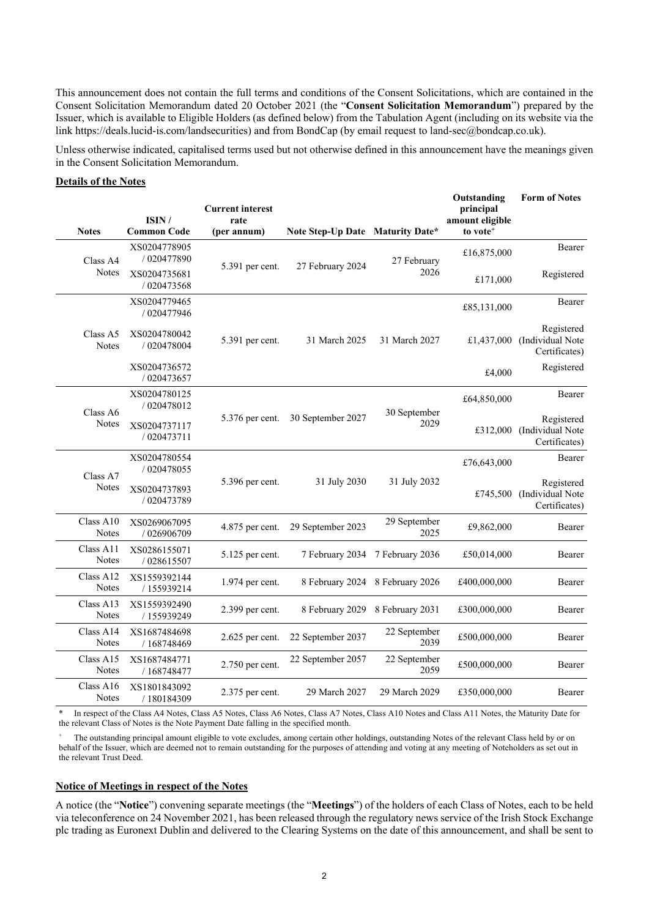This announcement does not contain the full terms and conditions of the Consent Solicitations, which are contained in the Consent Solicitation Memorandum dated 20 October 2021 (the "**Consent Solicitation Memorandum**") prepared by the Issuer, which is available to Eligible Holders (as defined below) from the Tabulation Agent (including on its website via the link https://deals.lucid-is.com/landsecurities) and from BondCap (by email request to land-sec@bondcap.co.uk).

Unless otherwise indicated, capitalised terms used but not otherwise defined in this announcement have the meanings given in the Consent Solicitation Memorandum.

### **Details of the Notes**

| <b>Notes</b>              | ISIN/<br><b>Common Code</b> | <b>Current interest</b><br>rate<br>(per annum) | <b>Note Step-Up Date Maturity Date*</b> |                      | Outstanding<br>principal<br>amount eligible<br>to vote <sup>+</sup> | <b>Form of Notes</b>                            |
|---------------------------|-----------------------------|------------------------------------------------|-----------------------------------------|----------------------|---------------------------------------------------------------------|-------------------------------------------------|
| Class A4<br><b>Notes</b>  | XS0204778905<br>/ 020477890 | 5.391 per cent.                                | 27 February 2024                        | 27 February<br>2026  | £16,875,000                                                         | <b>Bearer</b>                                   |
|                           | XS0204735681<br>/ 020473568 |                                                |                                         |                      | £171,000                                                            | Registered                                      |
|                           | XS0204779465<br>/ 020477946 |                                                |                                         |                      | £85,131,000                                                         | Bearer                                          |
| Class A5<br><b>Notes</b>  | XS0204780042<br>/ 020478004 | 5.391 per cent.                                | 31 March 2025                           | 31 March 2027        | £1,437,000                                                          | Registered<br>(Individual Note<br>Certificates) |
|                           | XS0204736572<br>/ 020473657 |                                                |                                         |                      | £4,000                                                              | Registered                                      |
|                           | XS0204780125<br>/ 020478012 |                                                |                                         |                      | £64,850,000                                                         | Bearer                                          |
| Class A6<br><b>Notes</b>  | XS0204737117<br>/ 020473711 | 5.376 per cent.                                | 30 September 2027                       | 30 September<br>2029 | £312,000                                                            | Registered<br>(Individual Note<br>Certificates) |
|                           | XS0204780554<br>/ 020478055 |                                                |                                         |                      | £76,643,000                                                         | Bearer                                          |
| Class A7<br>Notes         | XS0204737893<br>/ 020473789 | 5.396 per cent.                                | 31 July 2030                            | 31 July 2032         | £745,500                                                            | Registered<br>(Individual Note<br>Certificates) |
| Class A10<br>Notes        | XS0269067095<br>/ 026906709 | $4.875$ per cent.                              | 29 September 2023                       | 29 September<br>2025 | £9,862,000                                                          | <b>Bearer</b>                                   |
| Class A11<br><b>Notes</b> | XS0286155071<br>/ 028615507 | 5.125 per cent.                                | 7 February 2034                         | 7 February 2036      | £50,014,000                                                         | Bearer                                          |
| Class A12<br>Notes        | XS1559392144<br>/155939214  | 1.974 per cent.                                | 8 February 2024                         | 8 February 2026      | £400,000,000                                                        | <b>Bearer</b>                                   |
| Class A13<br>Notes        | XS1559392490<br>/155939249  | 2.399 per cent.                                | 8 February 2029                         | 8 February 2031      | £300,000,000                                                        | Bearer                                          |
| Class A14<br><b>Notes</b> | XS1687484698<br>/ 168748469 | $2.625$ per cent.                              | 22 September 2037                       | 22 September<br>2039 | £500,000,000                                                        | Bearer                                          |
| Class A15<br><b>Notes</b> | XS1687484771<br>/ 168748477 | 2.750 per cent.                                | 22 September 2057                       | 22 September<br>2059 | £500,000,000                                                        | Bearer                                          |
| Class A16<br><b>Notes</b> | XS1801843092<br>/180184309  | 2.375 per cent.                                | 29 March 2027                           | 29 March 2029        | £350,000,000                                                        | <b>Bearer</b>                                   |

\* In respect of the Class A4 Notes, Class A5 Notes, Class A6 Notes, Class A7 Notes, Class A10 Notes and Class A11 Notes, the Maturity Date for the relevant Class of Notes is the Note Payment Date falling in the specified month.

The outstanding principal amount eligible to vote excludes, among certain other holdings, outstanding Notes of the relevant Class held by or on behalf of the Issuer, which are deemed not to remain outstanding for the purposes of attending and voting at any meeting of Noteholders as set out in the relevant Trust Deed.

### **Notice of Meetings in respect of the Notes**

A notice (the "**Notice**") convening separate meetings (the "**Meetings**") of the holders of each Class of Notes, each to be held via teleconference on 24 November 2021, has been released through the regulatory news service of the Irish Stock Exchange plc trading as Euronext Dublin and delivered to the Clearing Systems on the date of this announcement, and shall be sent to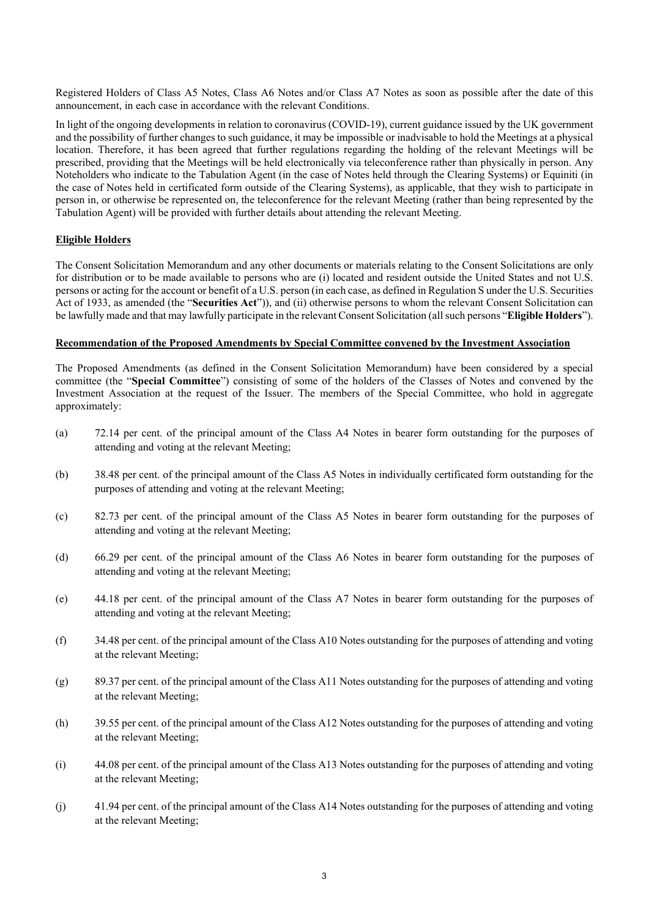Registered Holders of Class A5 Notes, Class A6 Notes and/or Class A7 Notes as soon as possible after the date of this announcement, in each case in accordance with the relevant Conditions.

In light of the ongoing developments in relation to coronavirus (COVID-19), current guidance issued by the UK government and the possibility of further changes to such guidance, it may be impossible or inadvisable to hold the Meetings at a physical location. Therefore, it has been agreed that further regulations regarding the holding of the relevant Meetings will be prescribed, providing that the Meetings will be held electronically via teleconference rather than physically in person. Any Noteholders who indicate to the Tabulation Agent (in the case of Notes held through the Clearing Systems) or Equiniti (in the case of Notes held in certificated form outside of the Clearing Systems), as applicable, that they wish to participate in person in, or otherwise be represented on, the teleconference for the relevant Meeting (rather than being represented by the Tabulation Agent) will be provided with further details about attending the relevant Meeting.

## **Eligible Holders**

The Consent Solicitation Memorandum and any other documents or materials relating to the Consent Solicitations are only for distribution or to be made available to persons who are (i) located and resident outside the United States and not U.S. persons or acting for the account or benefit of a U.S. person (in each case, as defined in Regulation S under the U.S. Securities Act of 1933, as amended (the "**Securities Act**")), and (ii) otherwise persons to whom the relevant Consent Solicitation can be lawfully made and that may lawfully participate in the relevant Consent Solicitation (all such persons "**Eligible Holders**").

### **Recommendation of the Proposed Amendments by Special Committee convened by the Investment Association**

The Proposed Amendments (as defined in the Consent Solicitation Memorandum) have been considered by a special committee (the "**Special Committee**") consisting of some of the holders of the Classes of Notes and convened by the Investment Association at the request of the Issuer. The members of the Special Committee, who hold in aggregate approximately:

- (a) 72.14 per cent. of the principal amount of the Class A4 Notes in bearer form outstanding for the purposes of attending and voting at the relevant Meeting;
- (b) 38.48 per cent. of the principal amount of the Class A5 Notes in individually certificated form outstanding for the purposes of attending and voting at the relevant Meeting;
- (c) 82.73 per cent. of the principal amount of the Class A5 Notes in bearer form outstanding for the purposes of attending and voting at the relevant Meeting;
- (d) 66.29 per cent. of the principal amount of the Class A6 Notes in bearer form outstanding for the purposes of attending and voting at the relevant Meeting;
- (e) 44.18 per cent. of the principal amount of the Class A7 Notes in bearer form outstanding for the purposes of attending and voting at the relevant Meeting;
- (f) 34.48 per cent. of the principal amount of the Class A10 Notes outstanding for the purposes of attending and voting at the relevant Meeting;
- $(g)$  89.37 per cent. of the principal amount of the Class A11 Notes outstanding for the purposes of attending and voting at the relevant Meeting;
- (h) 39.55 per cent. of the principal amount of the Class A12 Notes outstanding for the purposes of attending and voting at the relevant Meeting;
- (i) 44.08 per cent. of the principal amount of the Class A13 Notes outstanding for the purposes of attending and voting at the relevant Meeting;
- (j) 41.94 per cent. of the principal amount of the Class A14 Notes outstanding for the purposes of attending and voting at the relevant Meeting;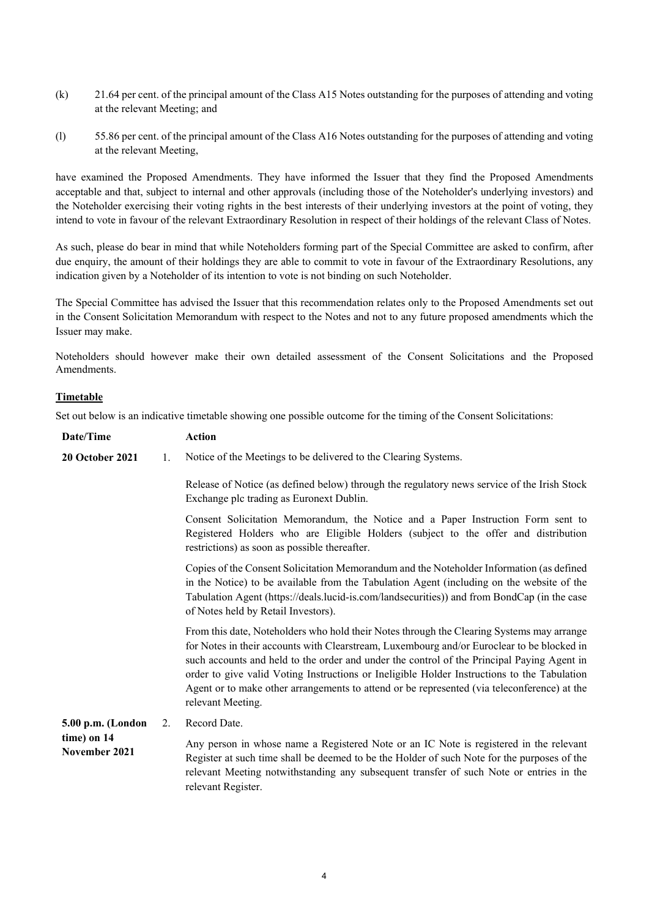- (k) 21.64 per cent. of the principal amount of the Class A15 Notes outstanding for the purposes of attending and voting at the relevant Meeting; and
- (l) 55.86 per cent. of the principal amount of the Class A16 Notes outstanding for the purposes of attending and voting at the relevant Meeting,

have examined the Proposed Amendments. They have informed the Issuer that they find the Proposed Amendments acceptable and that, subject to internal and other approvals (including those of the Noteholder's underlying investors) and the Noteholder exercising their voting rights in the best interests of their underlying investors at the point of voting, they intend to vote in favour of the relevant Extraordinary Resolution in respect of their holdings of the relevant Class of Notes.

As such, please do bear in mind that while Noteholders forming part of the Special Committee are asked to confirm, after due enquiry, the amount of their holdings they are able to commit to vote in favour of the Extraordinary Resolutions, any indication given by a Noteholder of its intention to vote is not binding on such Noteholder.

The Special Committee has advised the Issuer that this recommendation relates only to the Proposed Amendments set out in the Consent Solicitation Memorandum with respect to the Notes and not to any future proposed amendments which the Issuer may make.

Noteholders should however make their own detailed assessment of the Consent Solicitations and the Proposed Amendments.

## **Timetable**

Set out below is an indicative timetable showing one possible outcome for the timing of the Consent Solicitations:

| Date/Time                    |    | <b>Action</b>                                                                                                                                                                                                                                                                                                                                                                                                                                                                                            |
|------------------------------|----|----------------------------------------------------------------------------------------------------------------------------------------------------------------------------------------------------------------------------------------------------------------------------------------------------------------------------------------------------------------------------------------------------------------------------------------------------------------------------------------------------------|
| <b>20 October 2021</b>       | 1. | Notice of the Meetings to be delivered to the Clearing Systems.                                                                                                                                                                                                                                                                                                                                                                                                                                          |
|                              |    | Release of Notice (as defined below) through the regulatory news service of the Irish Stock<br>Exchange plc trading as Euronext Dublin.                                                                                                                                                                                                                                                                                                                                                                  |
|                              |    | Consent Solicitation Memorandum, the Notice and a Paper Instruction Form sent to<br>Registered Holders who are Eligible Holders (subject to the offer and distribution<br>restrictions) as soon as possible thereafter.                                                                                                                                                                                                                                                                                  |
|                              |    | Copies of the Consent Solicitation Memorandum and the Noteholder Information (as defined<br>in the Notice) to be available from the Tabulation Agent (including on the website of the<br>Tabulation Agent (https://deals.lucid-is.com/landsecurities)) and from BondCap (in the case<br>of Notes held by Retail Investors).                                                                                                                                                                              |
|                              |    | From this date, Noteholders who hold their Notes through the Clearing Systems may arrange<br>for Notes in their accounts with Clearstream, Luxembourg and/or Euroclear to be blocked in<br>such accounts and held to the order and under the control of the Principal Paying Agent in<br>order to give valid Voting Instructions or Ineligible Holder Instructions to the Tabulation<br>Agent or to make other arrangements to attend or be represented (via teleconference) at the<br>relevant Meeting. |
| 5.00 p.m. (London            | 2. | Record Date.                                                                                                                                                                                                                                                                                                                                                                                                                                                                                             |
| time) on 14<br>November 2021 |    | Any person in whose name a Registered Note or an IC Note is registered in the relevant<br>Register at such time shall be deemed to be the Holder of such Note for the purposes of the<br>relevant Meeting notwithstanding any subsequent transfer of such Note or entries in the<br>relevant Register.                                                                                                                                                                                                   |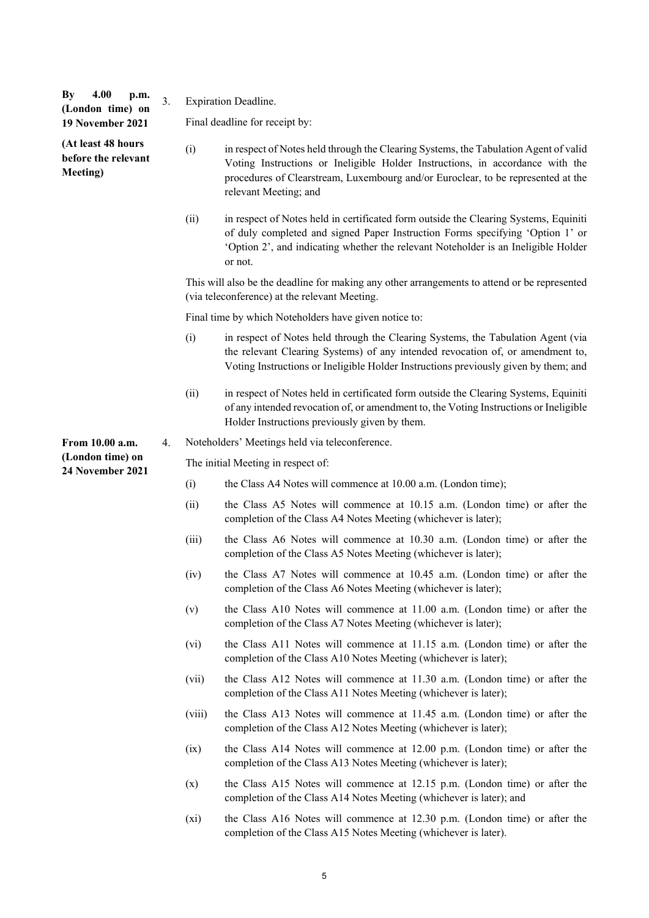| 4.00<br>By<br>p.m.<br>(London time) on                | 3. | <b>Expiration Deadline.</b> |                                                                                                                                                                                                                                                                                    |
|-------------------------------------------------------|----|-----------------------------|------------------------------------------------------------------------------------------------------------------------------------------------------------------------------------------------------------------------------------------------------------------------------------|
| 19 November 2021                                      |    |                             | Final deadline for receipt by:                                                                                                                                                                                                                                                     |
| (At least 48 hours<br>before the relevant<br>Meeting) |    | (i)                         | in respect of Notes held through the Clearing Systems, the Tabulation Agent of valid<br>Voting Instructions or Ineligible Holder Instructions, in accordance with the<br>procedures of Clearstream, Luxembourg and/or Euroclear, to be represented at the<br>relevant Meeting; and |
|                                                       |    | (ii)                        | in respect of Notes held in certificated form outside the Clearing Systems, Equiniti<br>of duly completed and signed Paper Instruction Forms specifying 'Option 1' or<br>'Option 2', and indicating whether the relevant Noteholder is an Ineligible Holder<br>or not.             |
|                                                       |    |                             | This will also be the deadline for making any other arrangements to attend or be represented<br>(via teleconference) at the relevant Meeting.                                                                                                                                      |
|                                                       |    |                             | Final time by which Noteholders have given notice to:                                                                                                                                                                                                                              |
|                                                       |    | (i)                         | in respect of Notes held through the Clearing Systems, the Tabulation Agent (via<br>the relevant Clearing Systems) of any intended revocation of, or amendment to,<br>Voting Instructions or Ineligible Holder Instructions previously given by them; and                          |
|                                                       |    | (ii)                        | in respect of Notes held in certificated form outside the Clearing Systems, Equiniti<br>of any intended revocation of, or amendment to, the Voting Instructions or Ineligible<br>Holder Instructions previously given by them.                                                     |
| From 10.00 a.m.                                       | 4. |                             | Noteholders' Meetings held via teleconference.                                                                                                                                                                                                                                     |
| (London time) on<br>24 November 2021                  |    |                             | The initial Meeting in respect of:                                                                                                                                                                                                                                                 |
|                                                       |    | (i)                         | the Class A4 Notes will commence at 10.00 a.m. (London time);                                                                                                                                                                                                                      |
|                                                       |    | (ii)                        | the Class A5 Notes will commence at 10.15 a.m. (London time) or after the<br>completion of the Class A4 Notes Meeting (whichever is later);                                                                                                                                        |
|                                                       |    | (iii)                       | the Class A6 Notes will commence at 10.30 a.m. (London time) or after the<br>completion of the Class A5 Notes Meeting (whichever is later);                                                                                                                                        |
|                                                       |    | (iv)                        | the Class A7 Notes will commence at 10.45 a.m. (London time) or after the<br>completion of the Class A6 Notes Meeting (whichever is later);                                                                                                                                        |
|                                                       |    | (v)                         | the Class A10 Notes will commence at 11.00 a.m. (London time) or after the<br>completion of the Class A7 Notes Meeting (whichever is later);                                                                                                                                       |
|                                                       |    | (vi)                        | the Class A11 Notes will commence at 11.15 a.m. (London time) or after the<br>completion of the Class A10 Notes Meeting (whichever is later);                                                                                                                                      |
|                                                       |    | (vii)                       | the Class A12 Notes will commence at 11.30 a.m. (London time) or after the<br>completion of the Class A11 Notes Meeting (whichever is later);                                                                                                                                      |
|                                                       |    | (viii)                      | the Class A13 Notes will commence at 11.45 a.m. (London time) or after the<br>completion of the Class A12 Notes Meeting (whichever is later);                                                                                                                                      |
|                                                       |    | (ix)                        | the Class A14 Notes will commence at 12.00 p.m. (London time) or after the<br>completion of the Class A13 Notes Meeting (whichever is later);                                                                                                                                      |
|                                                       |    | (x)                         | the Class A15 Notes will commence at 12.15 p.m. (London time) or after the<br>completion of the Class A14 Notes Meeting (whichever is later); and                                                                                                                                  |
|                                                       |    | $(x_i)$                     | the Class A16 Notes will commence at 12.30 p.m. (London time) or after the<br>completion of the Class A15 Notes Meeting (whichever is later).                                                                                                                                      |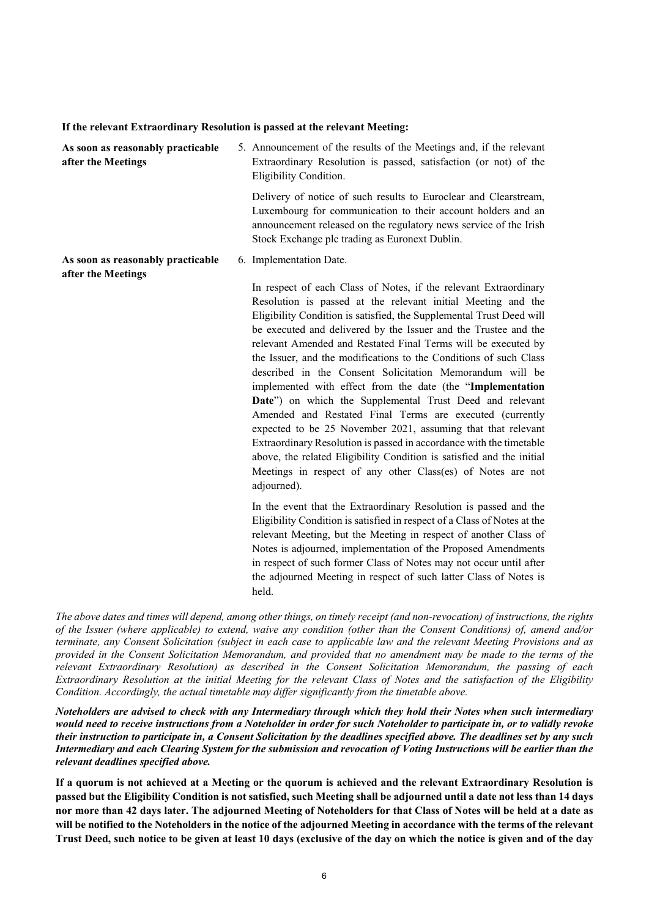| As soon as reasonably practicable<br>after the Meetings | 5. Announcement of the results of the Meetings and, if the relevant<br>Extraordinary Resolution is passed, satisfaction (or not) of the<br>Eligibility Condition.                                                                                                                                                                                                                                                                                                                                                                                                                                                                                                                                                                                                                                                                                                                                                                                                 |  |  |
|---------------------------------------------------------|-------------------------------------------------------------------------------------------------------------------------------------------------------------------------------------------------------------------------------------------------------------------------------------------------------------------------------------------------------------------------------------------------------------------------------------------------------------------------------------------------------------------------------------------------------------------------------------------------------------------------------------------------------------------------------------------------------------------------------------------------------------------------------------------------------------------------------------------------------------------------------------------------------------------------------------------------------------------|--|--|
|                                                         | Delivery of notice of such results to Euroclear and Clearstream,<br>Luxembourg for communication to their account holders and an<br>announcement released on the regulatory news service of the Irish<br>Stock Exchange plc trading as Euronext Dublin.                                                                                                                                                                                                                                                                                                                                                                                                                                                                                                                                                                                                                                                                                                           |  |  |
| As soon as reasonably practicable<br>after the Meetings | 6. Implementation Date.                                                                                                                                                                                                                                                                                                                                                                                                                                                                                                                                                                                                                                                                                                                                                                                                                                                                                                                                           |  |  |
|                                                         | In respect of each Class of Notes, if the relevant Extraordinary<br>Resolution is passed at the relevant initial Meeting and the<br>Eligibility Condition is satisfied, the Supplemental Trust Deed will<br>be executed and delivered by the Issuer and the Trustee and the<br>relevant Amended and Restated Final Terms will be executed by<br>the Issuer, and the modifications to the Conditions of such Class<br>described in the Consent Solicitation Memorandum will be<br>implemented with effect from the date (the "Implementation<br>Date") on which the Supplemental Trust Deed and relevant<br>Amended and Restated Final Terms are executed (currently<br>expected to be 25 November 2021, assuming that that relevant<br>Extraordinary Resolution is passed in accordance with the timetable<br>above, the related Eligibility Condition is satisfied and the initial<br>Meetings in respect of any other Class(es) of Notes are not<br>adjourned). |  |  |
|                                                         | In the event that the Extraordinary Resolution is passed and the<br>Eligibility Condition is satisfied in respect of a Class of Notes at the<br>relevant Meeting, but the Meeting in respect of another Class of<br>Notes is adjourned, implementation of the Proposed Amendments<br>in respect of such former Class of Notes may not occur until after                                                                                                                                                                                                                                                                                                                                                                                                                                                                                                                                                                                                           |  |  |

**If the relevant Extraordinary Resolution is passed at the relevant Meeting:**

*The above dates and times will depend, among other things, on timely receipt (and non-revocation) of instructions, the rights of the Issuer (where applicable) to extend, waive any condition (other than the Consent Conditions) of, amend and/or terminate, any Consent Solicitation (subject in each case to applicable law and the relevant Meeting Provisions and as provided in the Consent Solicitation Memorandum, and provided that no amendment may be made to the terms of the relevant Extraordinary Resolution) as described in the Consent Solicitation Memorandum, the passing of each Extraordinary Resolution at the initial Meeting for the relevant Class of Notes and the satisfaction of the Eligibility Condition. Accordingly, the actual timetable may differ significantly from the timetable above.*

held.

the adjourned Meeting in respect of such latter Class of Notes is

*Noteholders are advised to check with any Intermediary through which they hold their Notes when such intermediary would need to receive instructions from a Noteholder in order for such Noteholder to participate in, or to validly revoke their instruction to participate in, a Consent Solicitation by the deadlines specified above. The deadlines set by any such Intermediary and each Clearing System for the submission and revocation of Voting Instructions will be earlier than the relevant deadlines specified above.*

**If a quorum is not achieved at a Meeting or the quorum is achieved and the relevant Extraordinary Resolution is passed but the Eligibility Condition is not satisfied, such Meeting shall be adjourned until a date not less than 14 days nor more than 42 days later. The adjourned Meeting of Noteholders for that Class of Notes will be held at a date as will be notified to the Noteholders in the notice of the adjourned Meeting in accordance with the terms of the relevant Trust Deed, such notice to be given at least 10 days (exclusive of the day on which the notice is given and of the day**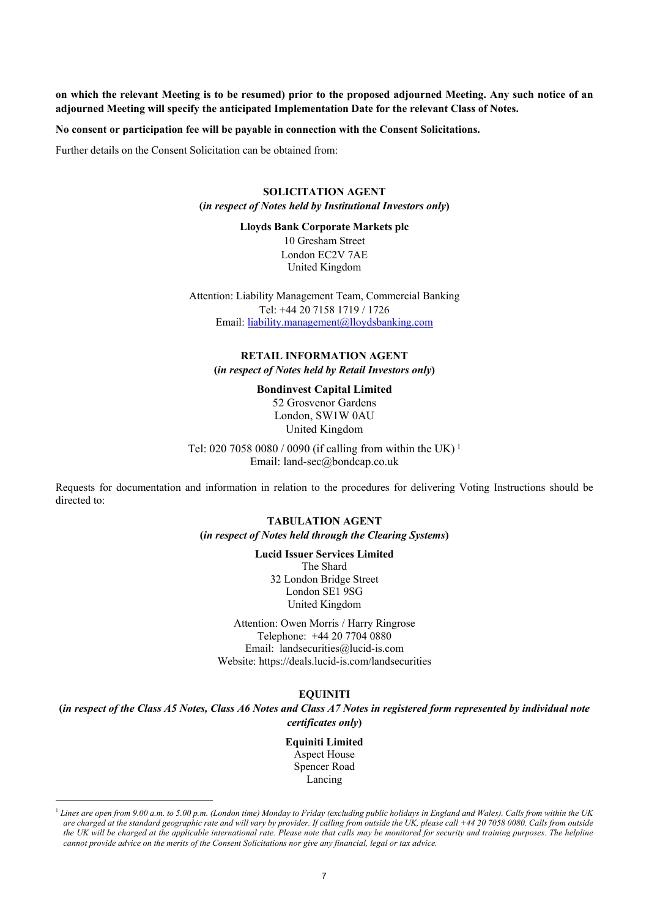**on which the relevant Meeting is to be resumed) prior to the proposed adjourned Meeting. Any such notice of an adjourned Meeting will specify the anticipated Implementation Date for the relevant Class of Notes.**

**No consent or participation fee will be payable in connection with the Consent Solicitations.** 

Further details on the Consent Solicitation can be obtained from:

### **SOLICITATION AGENT (***in respect of Notes held by Institutional Investors only***)**

# **Lloyds Bank Corporate Markets plc**

10 Gresham Street London EC2V 7AE United Kingdom

Attention: Liability Management Team, Commercial Banking Tel: +44 20 7158 1719 / 1726 Email: [liability.management@lloydsbanking.com](mailto:liability.management@lloydsbanking.com)

## **RETAIL INFORMATION AGENT (***in respect of Notes held by Retail Investors only***)**

### **Bondinvest Capital Limited**

52 Grosvenor Gardens London, SW1W 0AU United Kingdom

Tel: 020 7058 0080 / 0090 (if calling from within the UK) [1](#page-6-0) Email: land-sec@bondcap.co.uk

Requests for documentation and information in relation to the procedures for delivering Voting Instructions should be directed to:

### **TABULATION AGENT (***in respect of Notes held through the Clearing Systems***)**

**Lucid Issuer Services Limited** The Shard 32 London Bridge Street London SE1 9SG United Kingdom

Attention: Owen Morris / Harry Ringrose Telephone: +44 20 7704 0880 Email: landsecurities@lucid-is.com Website: https://deals.lucid-is.com/landsecurities

### **EQUINITI**

**(***in respect of the Class A5 Notes, Class A6 Notes and Class A7 Notes in registered form represented by individual note certificates only***)**

> **Equiniti Limited** Aspect House Spencer Road Lancing

<span id="page-6-0"></span><sup>&</sup>lt;sup>1</sup> Lines are open from 9.00 a.m. to 5.00 p.m. (London time) Monday to Friday (excluding public holidays in England and Wales). Calls from within the UK *are charged at the standard geographic rate and will vary by provider. If calling from outside the UK, please call +44 20 7058 0080. Calls from outside the UK will be charged at the applicable international rate. Please note that calls may be monitored for security and training purposes. The helpline cannot provide advice on the merits of the Consent Solicitations nor give any financial, legal or tax advice.*